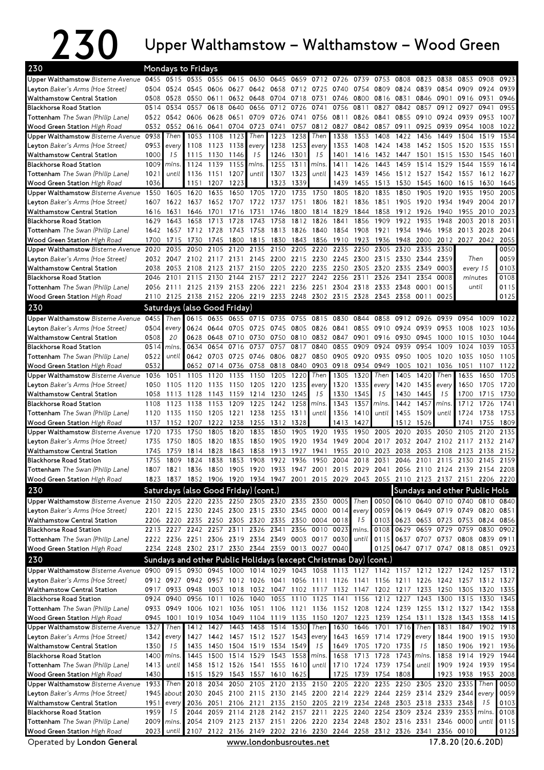## $230$  Upper Walthamstow – Walthamstow – Wood Green

| 230<br><b>Mondays to Fridays</b>                                                                                            |              |                        |                                                                                           |                          |              |                     |                                                                                                        |              |                |              |                      |              |              |              |                                                                       |                     |              |              |
|-----------------------------------------------------------------------------------------------------------------------------|--------------|------------------------|-------------------------------------------------------------------------------------------|--------------------------|--------------|---------------------|--------------------------------------------------------------------------------------------------------|--------------|----------------|--------------|----------------------|--------------|--------------|--------------|-----------------------------------------------------------------------|---------------------|--------------|--------------|
| Upper Walthamstow Bisterne Avenue                                                                                           |              |                        | 0455 0515 0535                                                                            |                          |              | 0555 0615 0630      | 0645                                                                                                   |              | 0659 0712 0726 |              | 0739                 | 0753         | 0808         | 0823         | 0838                                                                  | 0853                | 0908         | 0923         |
| Leyton Baker's Arms (Hoe Street)                                                                                            |              | 0504 0524              | 0545                                                                                      | 0606                     | 0627         | 0642                | 0658                                                                                                   |              | 0712 0725      | 0740         | 0754                 | 0809         | 0824         | 0839         | 0854                                                                  | 0909                | 0924         | 0939         |
| <b>Walthamstow Central Station</b>                                                                                          | 0508         | 0528                   | 0550                                                                                      | 0611                     | 0632         | 0648                | 0704                                                                                                   | 0718         | 0731           | 0746         | 0800                 | 0816         | 0831         | 0846         | 0901                                                                  | 0916                | 0931         | 0946         |
| <b>Blackhorse Road Station</b>                                                                                              | 0514         | 0534                   | 0557                                                                                      | 0618                     | 0640         | 0656                | 0712                                                                                                   | 0726         | 0741           | 0756         | 0811                 | 0827         | 0842         | 0857         | 0912                                                                  | 0927                | 0941         | 0955         |
| Tottenham The Swan (Philip Lane)                                                                                            | 0522         | 0542                   | 0606                                                                                      | 0628                     | 0651         | 0709                | 0726                                                                                                   | 0741         | 0756           | 0811         | 0826                 | 0841         | 0855         | 0910         | 0924                                                                  | 0939                | 0953         | 1007         |
| Wood Green Station High Road                                                                                                | 0532         | 0552                   | 0616                                                                                      | 0641                     | 0704         | 0723                | 0741                                                                                                   | 0757         | 0812           | 0827         | 0842                 | 0857         | 0911         | 0925         | 0939                                                                  | 0954                | 1008         | 1022         |
| Upper Walthamstow Bisterne Avenue                                                                                           | 0938         | Then                   | 1053                                                                                      | 1108                     | 1123         | Then                | 1223                                                                                                   | 1238         | Then           | 1338         | 1353                 | 1408         | 1422         | 1436         | 1449                                                                  | 1504                | 1519         | 1534         |
| <b>Leyton</b> Baker's Arms (Hoe Street)                                                                                     | 0953         | every                  | 1108                                                                                      | 1123                     | 1138         | every               | 1238                                                                                                   | 1253         | every          | 1353         | 1408                 | 1424         | 1438         | 1452         | 1505 1520                                                             |                     | 1535         | 1551         |
| <b>Walthamstow Central Station</b>                                                                                          | 1000         | 15                     | 1115                                                                                      | 1130                     | 1146         | 15                  | 1246                                                                                                   | 1301         | 15             | 1401         | 1416                 | 1432         | 1447         | 1501         | 1515                                                                  | 1530                | 1545         | 1601         |
| <b>Blackhorse Road Station</b>                                                                                              | 1009         | mins.                  | 1124                                                                                      | 1139                     | 1155         | mins.               | 1255                                                                                                   | 1311         | mins.          | 1411         | 1426                 | 1443         | 1459         | 1514         | 1529                                                                  | 1544                | 1559         | 1614         |
| Tottenham The Swan (Philip Lane)                                                                                            | 1021         | until                  | 1136                                                                                      | 1151                     | 1207         | until               | 1307                                                                                                   | 1323         | until          | 1423         | 1439                 | 1456         | 1512         | 1527         | 1542                                                                  | 1557                | 1612         | 1627         |
| Wood Green Station High Road                                                                                                | 1036         |                        | 1151                                                                                      | 1207                     | 1223         |                     | 1323                                                                                                   | 1339         |                | 1439         | 1455                 | 1513         | 1530         | 1545         | 1600                                                                  | 1615                | 1630         | 1645         |
| Upper Walthamstow Bisterne Avenue                                                                                           | 1550         | 1605                   | 1620                                                                                      | 1635                     | 1650         | 1705                | 1720                                                                                                   | 1735         | 1750           | 1805         | 1820                 | 1835         | 1850         | 1905         | 1920                                                                  | 1935                | 1950         | 2005         |
| Leyton Baker's Arms (Hoe Street)                                                                                            | 1607         | 1622                   | 1637                                                                                      | 1652                     | 1707         | 1722                | 1737                                                                                                   | 1751         | 1806           | 1821         | 1836                 | 1851         | 1905         | 1920         | 1934                                                                  | 1949                | 2004         | 2017         |
| <b>Walthamstow Central Station</b><br><b>Blackhorse Road Station</b>                                                        | 1616<br>1629 | 1631<br>1643           | 1646<br>1658                                                                              | 1701<br>1713             | 1716<br>1728 | 1731<br>1743        | 1746<br>1758                                                                                           | 1800<br>1812 | 1814<br>1826   | 1829<br>1841 | 1844<br>1856         | 1858<br>1909 | 1912<br>1922 | 1926<br>1935 | 1940<br>1948                                                          | 1955<br>2003        | 2010<br>2018 | 2023<br>2031 |
| Tottenham The Swan (Philip Lane)                                                                                            | 1642         | 1657                   | 1712                                                                                      | 1728                     | 1743         | 1758                | 1813                                                                                                   | 1826         | 1840           | 1854         | 1908                 | 1921         | 1934         | 1946         | 1958                                                                  | 2013                | 2028         | 2041         |
| Wood Green Station High Road                                                                                                | 1700         | 1715                   | 1730                                                                                      | 1745                     | 1800         | 1815                | 1830                                                                                                   | 1843         | 1856           | 1910         | 1923                 | 1936         | 1948         | 2000         | 2012                                                                  | 2027                | 2042         | 2055         |
| Upper Walthamstow Bisterne Avenue                                                                                           | 2020         | 2035                   | 2050                                                                                      | 2105                     | 2120         | 2135                | 2150                                                                                                   | 2205         | 2220           | 2235         | 2250                 | 2305         | 2320         | 2335         | 2350                                                                  |                     |              | 0050         |
| Leyton Baker's Arms (Hoe Street)                                                                                            | 2032         | 2047                   | 2102                                                                                      | 2117                     | 2131         | 2145                | 2200                                                                                                   | 2215         | 2230           | 2245         | 2300                 | 2315         | 2330         | 2344         | 2359                                                                  | Then                |              | 0059         |
| <b>Walthamstow Central Station</b>                                                                                          | 2038         | 2053                   | 2108                                                                                      | 2123                     | 2137         | 2150                | 2205                                                                                                   | 2220         | 2235           | 2250         | 2305                 | 2320         | 2335         | 2349         | 0003                                                                  | every 15            |              | 0103         |
| <b>Blackhorse Road Station</b>                                                                                              | 2046         | 2101                   | 2115                                                                                      | 2130                     | 2144         | 2157                | 2212                                                                                                   | 2227         | 2242           | 2256         | 2311                 | 2326         | 2341         | 2354         | 0008                                                                  | minutes             |              | 0108         |
| Tottenham The Swan (Philip Lane)                                                                                            | 2056         | 2111                   |                                                                                           | 2125 2139 2153 2206 2221 |              |                     |                                                                                                        |              | 2236 2251      |              | 2304 2318 2333 2348  |              |              | 0001         | 0015                                                                  | until               |              | 0115         |
| Wood Green Station High Road                                                                                                | 2110         | 2125                   | 2138                                                                                      | 2152 2206 2219           |              |                     | 2233                                                                                                   |              | 2248 2302 2315 |              | 2328                 | 2343         | 2358         | 0011         | 0025                                                                  |                     |              | 0125         |
| 230                                                                                                                         |              |                        | Saturdays (also Good Friday)                                                              |                          |              |                     |                                                                                                        |              |                |              |                      |              |              |              |                                                                       |                     |              |              |
| Upper Walthamstow Bisterne Avenue                                                                                           | 0455         | Then                   | 0615                                                                                      | 0635                     | 0655         | 0715                | 0735                                                                                                   | 0755         | 0815           | 0830         | 0844                 | 0858         | 0912         | 0926         | 0939                                                                  | 0954                | 1009         | 1022         |
| Leyton Baker's Arms (Hoe Street)                                                                                            | 0504         | every                  | 0624                                                                                      | 0644                     | 0705         | 0725                | 0745                                                                                                   | 0805         | 0826           | 0841         | 0855                 | 0910         | 0924         | 0939         | 0953                                                                  | 1008                | 1023         | 1036         |
| <b>Walthamstow Central Station</b>                                                                                          | 0508         | 20                     | 0628                                                                                      | 0648                     | 0710         | 0730                | 0750                                                                                                   | 0810         | 0832 0847      |              | 0901                 | 0916         | 0930         | 0945         | 1000                                                                  | 1015                | 1030         | 1044         |
| <b>Blackhorse Road Station</b>                                                                                              | 0514         | mins.                  | 0634                                                                                      | 0654                     | 0716         | 0737                | 0757                                                                                                   | 0817         | 0840           | 0855         | 0909                 | 0924         | 0939         | 0954         | 1009                                                                  | 1024                | 1039         | 1053         |
| Tottenham The Swan (Philip Lane)                                                                                            | 0522         | until                  | 0642                                                                                      | 0703                     | 0725         | 0746                | 0806                                                                                                   | 0827         | 0850           | 0905         | 0920                 | 0935         | 0950         | 1005         | 1020                                                                  | 1035                | 1050         | 1105         |
| Wood Green Station High Road                                                                                                | 0532         |                        | 0652                                                                                      | 0714                     | 0736         | 0758                | 0818                                                                                                   | 0840         | 0903           | 0918         | 0934                 | 0949         | 1005         | 1021         | 1036                                                                  | 1051                | 1107         | 1122         |
| Upper Walthamstow Bisterne Avenue                                                                                           | 1036         | 1051                   | 1105                                                                                      | 1120                     | 1135         | 1150                | 1205                                                                                                   | 1220         | Then           | 1305         | 1320                 | Then         | 1405         | 1420         | Then                                                                  | 1635                | 1650         | 1705         |
| <b>Leyton</b> Baker's Arms (Hoe Street)                                                                                     | 1050         | 1105                   | 1120                                                                                      | 1135                     | 1150         | 1205                | 1220                                                                                                   | 1235         | every          | 1320         | 1335                 | every        | 1420         | 1435         | every                                                                 | 1650                | 1705         | 1720         |
| <b>Walthamstow Central Station</b>                                                                                          | 1058         | 1113                   | 1128                                                                                      | 1143                     | 1159         | 1214                | 1230                                                                                                   | 1245         | 15             | 1330         | 1345                 | 15           | 1430         | 1445         | 15                                                                    | 1700                | 1715         | 1730         |
| <b>Blackhorse Road Station</b>                                                                                              | 1108         | 1123                   | 1138                                                                                      | 1153                     | 1209         | 1225                | 1242                                                                                                   | 1258         | mins.          | 1343         | 1357                 | <i>mins</i>  | 1442         | 1457         | mins                                                                  | 1712                | 1726         | 1741         |
| <b>Tottenham</b> The Swan (Philip Lane)                                                                                     | 1120         | 1135                   | 1150                                                                                      | 1205                     | 1221 1238    |                     | 1255                                                                                                   | 1311         | until          | 1356         | 1410                 | until        | 1455         | 1509         | until                                                                 | 1724                | 1738         | 1753         |
| Wood Green Station High Road                                                                                                | 1137         | 1152                   | 1207                                                                                      | 1222                     | 1238         | 1255                | 1312                                                                                                   | 1328         |                | 1413         | 1427                 |              | 1512         | 1526         |                                                                       | 1741                | 1755         | 1809         |
| Upper Walthamstow Bisterne Avenue                                                                                           | 1720         | 1735                   | 1750                                                                                      | 1805                     | 1820         | 1835                | 1850                                                                                                   | 1905         | 1920           | 1935         | 1950                 | 2005         | 2020         | 2035         | 2050                                                                  | 2105                | 2120         | 2135         |
| Leyton Baker's Arms (Hoe Street)                                                                                            | 1735         | 1750                   | 1805                                                                                      | 1820                     | 1835         | 1850                | 1905                                                                                                   | 1920         | 1934           | 1949         | 2004                 | 2017         | 2032         | 2047         |                                                                       | 2102 2117 2132      |              | 2147         |
| <b>Walthamstow Central Station</b>                                                                                          | 1745         | 1759                   | 1814                                                                                      | 1828                     | 1843         | 1858                | 1913                                                                                                   | 1927         | 1941           | 1955         | 2010                 | 2023         | 2038         | 2053         | 2108                                                                  | 2123                | 2138         | 2152         |
| <b>Blackhorse Road Station</b>                                                                                              | 1755         | 1809                   | 1824                                                                                      | 1838                     | 1853         | 1908                | 1922                                                                                                   | 1936         | 1950           | 2004         | 2018                 | 2031         | 2046         | 2101         | 2115 2130                                                             |                     | 2145         | 2159         |
| Tottenham The Swan (Philip Lane)                                                                                            |              |                        | 1807 1821 1836 1850 1905 1920 1933 1947 2001 2015 2029 2041 2056 2110 2124 2139 2154 2208 |                          |              |                     |                                                                                                        |              |                |              |                      |              |              |              |                                                                       |                     |              |              |
| Wood Green Station High Road                                                                                                |              |                        | 1823 1837 1852 1906 1920 1934 1947 2001 2015 2029 2043 2055 2110 2123 2137 2151 2206 2220 |                          |              |                     |                                                                                                        |              |                |              |                      |              |              |              |                                                                       |                     |              |              |
| 230                                                                                                                         |              |                        | Saturdays (also Good Friday) (cont.)                                                      |                          |              |                     |                                                                                                        |              |                |              |                      |              |              |              | Sundays and other Public Hols                                         |                     |              |              |
| Upper Walthamstow Bisterne Avenue                                                                                           |              |                        | 2150 2205 2220 2235 2250 2305 2320 2335 2350 0005                                         |                          |              |                     |                                                                                                        |              |                |              | Then                 |              |              |              | 0050 0610 0640 0710 0740 0810 0840                                    |                     |              |              |
| <b>Leyton</b> Baker's Arms (Hoe Street)                                                                                     | 2201         |                        | 2215 2230 2245 2300 2315 2330 2345 0000 0014 every                                        |                          |              |                     |                                                                                                        |              |                |              |                      | 0059         | 0619         | 0649         | 0719 0749 0820 0851                                                   |                     |              |              |
| <b>Walthamstow Central Station</b>                                                                                          |              |                        | 2206 2220 2235 2250 2305 2320 2335                                                        |                          |              |                     |                                                                                                        |              | 2350 0004 0018 |              | 15                   | 0103         | 0623         |              | 0653 0723 0753 0824 0856                                              |                     |              |              |
| <b>Blackhorse Road Station</b>                                                                                              |              |                        | 2213 2227 2242 2257 2311 2326 2341 2356 0010 0023                                         |                          |              |                     |                                                                                                        |              |                |              | mins.                | 0108         |              |              | 0629 0659 0729 0759 0830                                              |                     |              | 0902         |
| Tottenham The Swan (Philip Lane)                                                                                            |              |                        | 2222 2236 2251 2306 2319 2334 2349 0003 0017 0030                                         |                          |              |                     |                                                                                                        |              |                |              | until                | 0115         |              |              | 0637 0707 0737 0808                                                   |                     |              | 0839 0911    |
| Wood Green Station High Road                                                                                                |              |                        | 2234 2248 2302 2317 2330 2344 2359 0013 0027 0040                                         |                          |              |                     |                                                                                                        |              |                |              |                      | 0125         |              |              | 0647 0717 0747 0818 0851 0923                                         |                     |              |              |
| 230                                                                                                                         |              |                        | Sundays and other Public Holidays (except Christmas Day) (cont.)                          |                          |              |                     |                                                                                                        |              |                |              |                      |              |              |              |                                                                       |                     |              |              |
| Upper Walthamstow Bisterne Avenue 0900 0915 0930 0945 1000 1014 1029 1043 1058 1113 1127 1142 1157 1212 1227 1242 1257 1312 |              |                        |                                                                                           |                          |              |                     |                                                                                                        |              |                |              |                      |              |              |              |                                                                       |                     |              |              |
| Leyton Baker's Arms (Hoe Street)                                                                                            |              |                        | 0912 0927 0942 0957 1012 1026 1041 1056 1111 1126 1141 1156 1211 1226 1242 1257 1312 1327 |                          |              |                     |                                                                                                        |              |                |              |                      |              |              |              |                                                                       |                     |              |              |
| Walthamstow Central Station                                                                                                 |              |                        | 0917 0933 0948                                                                            |                          |              |                     | 1003 1018 1032 1047 1102 1117 1132 1147 1202 1217 1233                                                 |              |                |              |                      |              |              |              | 1250 1305 1320                                                        |                     |              | 1335         |
| <b>Blackhorse Road Station</b>                                                                                              |              | 0924 0940<br>0933 0949 | 0956<br>1006                                                                              | 1011                     |              |                     | 1026 1040 1055 1110 1125 1141 1156 1212 1227 1243<br>1021 1036 1051 1106 1121 1136 1152 1208 1224 1239 |              |                |              |                      |              |              |              | 1300 1315 1330<br>1255 1312 1327 1342 1358                            |                     |              | 1345         |
| <b>Tottenham</b> The Swan (Philip Lane)<br>Wood Green Station High Road                                                     |              | 0945 1001              |                                                                                           |                          |              |                     | 1019 1034 1049 1104 1119 1135 1150 1207 1223 1239 1254 1311                                            |              |                |              |                      |              |              |              |                                                                       | 1328 1343 1358      |              | 1415         |
| Upper Walthamstow Bisterne Avenue                                                                                           | 1327         | Then                   |                                                                                           |                          |              |                     | 1412 1427 1443 1458 1514 1530                                                                          |              | Then           | 1630         | 1646 1701 1716 Then  |              |              |              |                                                                       | 1831 1847 1902 1918 |              |              |
| Leyton Baker's Arms (Hoe Street)                                                                                            | 1342         | every                  | 1427                                                                                      |                          |              |                     | 1442 1457 1512 1527                                                                                    | 1543         | every          | 1643         | 1659 1714 1729 every |              |              |              |                                                                       | 1844 1900           | 1915 1930    |              |
| <b>Walthamstow Central Station</b>                                                                                          | 1350         | 15                     | 1435                                                                                      |                          |              | 1450 1504 1519 1534 |                                                                                                        | 1549         | 15             | 1649         | 1705 1720            |              | 1735         | 15           |                                                                       | 1850 1906 1921      |              | 1936         |
| <b>Blackhorse Road Station</b>                                                                                              | 1400         | mins.                  | 1445                                                                                      |                          |              |                     | 1500 1514 1529 1543 1558                                                                               |              | mins.          | 1658         | 1713 1728            |              | 1743 mins.   |              | 1858                                                                  | 1914 1929           |              | 1944         |
| Tottenham The Swan (Philip Lane)                                                                                            | 1413         | until                  | 1458                                                                                      |                          |              | 1512 1526 1541 1555 |                                                                                                        | 1610         | until          |              | 1710 1724 1739 1754  |              |              | until        |                                                                       | 1909 1924 1939      |              | 1954         |
| Wood Green Station High Road                                                                                                | 1430         |                        |                                                                                           | 1515 1529                |              | 1543 1557 1610      |                                                                                                        | 1625         |                | 1725         |                      | 1739 1754    | 1808         |              | 1923                                                                  | 1938                | 1953         | 2008         |
| Upper Walthamstow Bisterne Avenue                                                                                           | 1933         | Then <b>I</b>          | 2018                                                                                      | 2034                     | 2050         | 2105                | 2120                                                                                                   |              | 2135 2150      |              | 2205 2220            | 2235         | 2250         | 2305         | 2320                                                                  | 2335                | Then         | 0050         |
| <b>Leyton</b> Baker's Arms (Hoe Street)                                                                                     | 1945         | about                  | 2030                                                                                      |                          |              |                     |                                                                                                        |              |                |              |                      |              |              |              | 2045 2100 2115 2130 2145 2200 2214 2229 2244 2259 2314 2329 2344      |                     | every        | 0059         |
| Walthamstow Central Station                                                                                                 | 1951         | every                  |                                                                                           | 2036 2051                |              | 2106 2121           | 2135                                                                                                   |              |                |              |                      |              |              |              | 2150 2205 2219 2234 2248 2303 2318 2333 2348                          |                     | 15           | 0103         |
| <b>Blackhorse Road Station</b>                                                                                              | 1959         | 15                     | 2044                                                                                      |                          | 2059 2114    | 2128                |                                                                                                        |              | 2142 2157 2211 |              | 2225 2240            |              | 2254 2309    | 2324         |                                                                       | 2339 2353           | mins.        | 0108         |
| Tottenham The Swan (Philip Lane)                                                                                            | 2009         | mins.                  | 2054                                                                                      |                          |              |                     |                                                                                                        |              |                |              |                      |              |              |              | 2109 2123 2137 2151 2206 2220 2234 2248 2302 2316 2331 2346 0000      |                     | until        | 0115         |
| Wood Green Station High Road                                                                                                | 2023         | until                  |                                                                                           |                          |              |                     |                                                                                                        |              |                |              |                      |              |              |              | 2107 2122 2136 2149 2202 2216 2230 2244 2258 2312 2326 2341 2356 0010 |                     |              | 0125         |
| Operated by London General                                                                                                  |              |                        |                                                                                           |                          |              |                     | www.londonbusroutes.net                                                                                |              |                |              |                      |              |              |              | 17.8.20 (20.6.20D)                                                    |                     |              |              |